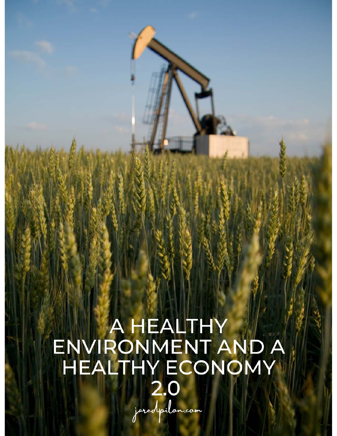# A HEALTHY<br>ENVIRONMENT AND A<br>HEALTHY ECONOMY  $2.0$

jaredpilon.com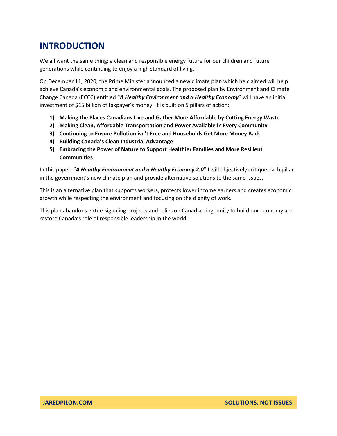# **INTRODUCTION**

We all want the same thing: a clean and responsible energy future for our children and future generations while continuing to enjoy a high standard of living.

On December 11, 2020, the Prime Minister announced a new climate plan which he claimed will help achieve Canada's economic and environmental goals. The proposed plan by Environment and Climate Change Canada (ECCC) entitled "*A Healthy Environment and a Healthy Economy*" will have an initial investment of \$15 billion of taxpayer's money. It is built on 5 pillars of action:

- **1) Making the Places Canadians Live and Gather More Affordable by Cutting Energy Waste**
- **2) Making Clean, Affordable Transportation and Power Available in Every Community**
- **3) Continuing to Ensure Pollution isn't Free and Households Get More Money Back**
- **4) Building Canada's Clean Industrial Advantage**
- **5) Embracing the Power of Nature to Support Healthier Families and More Resilient Communities**

In this paper, "*A Healthy Environment and a Healthy Economy 2.0*" I will objectively critique each pillar in the government's new climate plan and provide alternative solutions to the same issues.

This is an alternative plan that supports workers, protects lower income earners and creates economic growth while respecting the environment and focusing on the dignity of work.

This plan abandons virtue-signaling projects and relies on Canadian ingenuity to build our economy and restore Canada's role of responsible leadership in the world.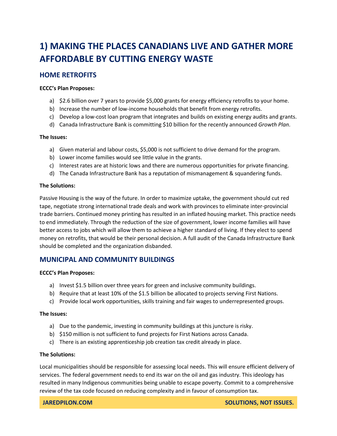# **1) MAKING THE PLACES CANADIANS LIVE AND GATHER MORE AFFORDABLE BY CUTTING ENERGY WASTE**

# **HOME RETROFITS**

# **ECCC's Plan Proposes:**

- a) \$2.6 billion over 7 years to provide \$5,000 grants for energy efficiency retrofits to your home.
- b) Increase the number of low-income households that benefit from energy retrofits.
- c) Develop a low-cost loan program that integrates and builds on existing energy audits and grants.
- d) Canada Infrastructure Bank is committing \$10 billion for the recently announced *Growth Plan*.

# **The Issues:**

- a) Given material and labour costs, \$5,000 is not sufficient to drive demand for the program.
- b) Lower income families would see little value in the grants.
- c) Interest rates are at historic lows and there are numerous opportunities for private financing.
- d) The Canada Infrastructure Bank has a reputation of mismanagement & squandering funds.

# **The Solutions:**

Passive Housing is the way of the future. In order to maximize uptake, the government should cut red tape, negotiate strong international trade deals and work with provinces to eliminate inter-provincial trade barriers. Continued money printing has resulted in an inflated housing market. This practice needs to end immediately. Through the reduction of the size of government, lower income families will have better access to jobs which will allow them to achieve a higher standard of living. If they elect to spend money on retrofits, that would be their personal decision. A full audit of the Canada Infrastructure Bank should be completed and the organization disbanded.

# **MUNICIPAL AND COMMUNITY BUILDINGS**

# **ECCC's Plan Proposes:**

- a) Invest \$1.5 billion over three years for green and inclusive community buildings.
- b) Require that at least 10% of the \$1.5 billion be allocated to projects serving First Nations.
- c) Provide local work opportunities, skills training and fair wages to underrepresented groups.

# **The Issues:**

- a) Due to the pandemic, investing in community buildings at this juncture is risky.
- b) \$150 million is not sufficient to fund projects for First Nations across Canada.
- c) There is an existing apprenticeship job creation tax credit already in place.

# **The Solutions:**

Local municipalities should be responsible for assessing local needs. This will ensure efficient delivery of services. The federal government needs to end its war on the oil and gas industry. This ideology has resulted in many Indigenous communities being unable to escape poverty. Commit to a comprehensive review of the tax code focused on reducing complexity and in favour of consumption tax.

**JAREDPILON.COM SOLUTIONS, NOT ISSUES.**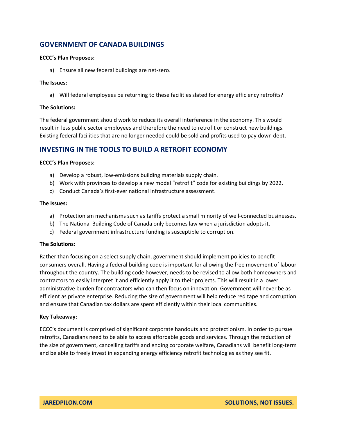# **GOVERNMENT OF CANADA BUILDINGS**

# **ECCC's Plan Proposes:**

a) Ensure all new federal buildings are net-zero.

# **The Issues:**

a) Will federal employees be returning to these facilities slated for energy efficiency retrofits?

# **The Solutions:**

The federal government should work to reduce its overall interference in the economy. This would result in less public sector employees and therefore the need to retrofit or construct new buildings. Existing federal facilities that are no longer needed could be sold and profits used to pay down debt.

# **INVESTING IN THE TOOLS TO BUILD A RETROFIT ECONOMY**

# **ECCC's Plan Proposes:**

- a) Develop a robust, low-emissions building materials supply chain.
- b) Work with provinces to develop a new model "retrofit" code for existing buildings by 2022.
- c) Conduct Canada's first-ever national infrastructure assessment.

# **The Issues:**

- a) Protectionism mechanisms such as tariffs protect a small minority of well-connected businesses.
- b) The National Building Code of Canada only becomes law when a jurisdiction adopts it.
- c) Federal government infrastructure funding is susceptible to corruption.

# **The Solutions:**

Rather than focusing on a select supply chain, government should implement policies to benefit consumers overall. Having a federal building code is important for allowing the free movement of labour throughout the country. The building code however, needs to be revised to allow both homeowners and contractors to easily interpret it and efficiently apply it to their projects. This will result in a lower administrative burden for contractors who can then focus on innovation. Government will never be as efficient as private enterprise. Reducing the size of government will help reduce red tape and corruption and ensure that Canadian tax dollars are spent efficiently within their local communities.

# **Key Takeaway:**

ECCC's document is comprised of significant corporate handouts and protectionism. In order to pursue retrofits, Canadians need to be able to access affordable goods and services. Through the reduction of the size of government, cancelling tariffs and ending corporate welfare, Canadians will benefit long-term and be able to freely invest in expanding energy efficiency retrofit technologies as they see fit.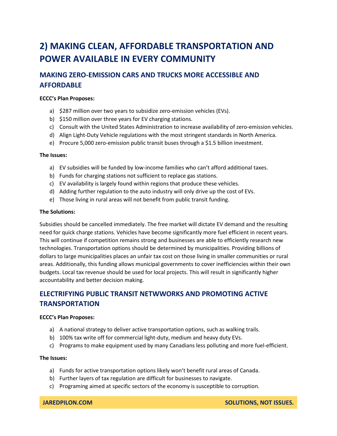# **2) MAKING CLEAN, AFFORDABLE TRANSPORTATION AND POWER AVAILABLE IN EVERY COMMUNITY**

# **MAKING ZERO-EMISSION CARS AND TRUCKS MORE ACCESSIBLE AND AFFORDABLE**

# **ECCC's Plan Proposes:**

- a) \$287 million over two years to subsidize zero-emission vehicles (EVs).
- b) \$150 million over three years for EV charging stations.
- c) Consult with the United States Administration to increase availability of zero-emission vehicles.
- d) Align Light-Duty Vehicle regulations with the most stringent standards in North America.
- e) Procure 5,000 zero-emission public transit buses through a \$1.5 billion investment.

# **The Issues:**

- a) EV subsidies will be funded by low-income families who can't afford additional taxes.
- b) Funds for charging stations not sufficient to replace gas stations.
- c) EV availability is largely found within regions that produce these vehicles.
- d) Adding further regulation to the auto industry will only drive up the cost of EVs.
- e) Those living in rural areas will not benefit from public transit funding.

# **The Solutions:**

Subsidies should be cancelled immediately. The free market will dictate EV demand and the resulting need for quick charge stations. Vehicles have become significantly more fuel efficient in recent years. This will continue if competition remains strong and businesses are able to efficiently research new technologies. Transportation options should be determined by municipalities. Providing billions of dollars to large municipalities places an unfair tax cost on those living in smaller communities or rural areas. Additionally, this funding allows municipal governments to cover inefficiencies within their own budgets. Local tax revenue should be used for local projects. This will result in significantly higher accountability and better decision making.

# **ELECTRIFYING PUBLIC TRANSIT NETWWORKS AND PROMOTING ACTIVE TRANSPORTATION**

# **ECCC's Plan Proposes:**

- a) A national strategy to deliver active transportation options, such as walking trails.
- b) 100% tax write off for commercial light-duty, medium and heavy duty EVs.
- c) Programs to make equipment used by many Canadians less polluting and more fuel-efficient.

# **The Issues:**

- a) Funds for active transportation options likely won't benefit rural areas of Canada.
- b) Further layers of tax regulation are difficult for businesses to navigate.
- c) Programing aimed at specific sectors of the economy is susceptible to corruption.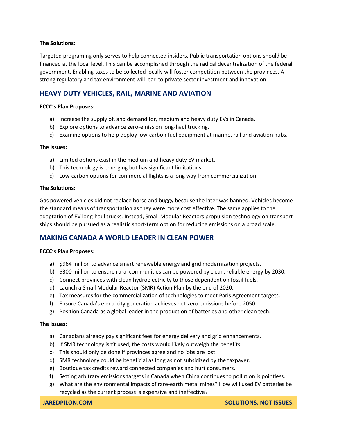Targeted programing only serves to help connected insiders. Public transportation options should be financed at the local level. This can be accomplished through the radical decentralization of the federal government. Enabling taxes to be collected locally will foster competition between the provinces. A strong regulatory and tax environment will lead to private sector investment and innovation.

# **HEAVY DUTY VEHICLES, RAIL, MARINE AND AVIATION**

# **ECCC's Plan Proposes:**

- a) Increase the supply of, and demand for, medium and heavy duty EVs in Canada.
- b) Explore options to advance zero-emission long-haul trucking.
- c) Examine options to help deploy low-carbon fuel equipment at marine, rail and aviation hubs.

# **The Issues:**

- a) Limited options exist in the medium and heavy duty EV market.
- b) This technology is emerging but has significant limitations.
- c) Low-carbon options for commercial flights is a long way from commercialization.

# **The Solutions:**

Gas powered vehicles did not replace horse and buggy because the later was banned. Vehicles become the standard means of transportation as they were more cost effective. The same applies to the adaptation of EV long-haul trucks. Instead, Small Modular Reactors propulsion technology on transport ships should be pursued as a realistic short-term option for reducing emissions on a broad scale.

# **MAKING CANADA A WORLD LEADER IN CLEAN POWER**

# **ECCC's Plan Proposes:**

- a) \$964 million to advance smart renewable energy and grid modernization projects.
- b) \$300 million to ensure rural communities can be powered by clean, reliable energy by 2030.
- c) Connect provinces with clean hydroelectricity to those dependent on fossil fuels.
- d) Launch a Small Modular Reactor (SMR) Action Plan by the end of 2020.
- e) Tax measures for the commercialization of technologies to meet Paris Agreement targets.
- f) Ensure Canada's electricity generation achieves net-zero emissions before 2050.
- g) Position Canada as a global leader in the production of batteries and other clean tech.

# **The Issues:**

- a) Canadians already pay significant fees for energy delivery and grid enhancements.
- b) If SMR technology isn't used, the costs would likely outweigh the benefits.
- c) This should only be done if provinces agree and no jobs are lost.
- d) SMR technology could be beneficial as long as not subsidized by the taxpayer.
- e) Boutique tax credits reward connected companies and hurt consumers.
- f) Setting arbitrary emissions targets in Canada when China continues to pollution is pointless.
- g) What are the environmental impacts of rare-earth metal mines? How will used EV batteries be recycled as the current process is expensive and ineffective?

**JAREDPILON.COM SOLUTIONS, NOT ISSUES.**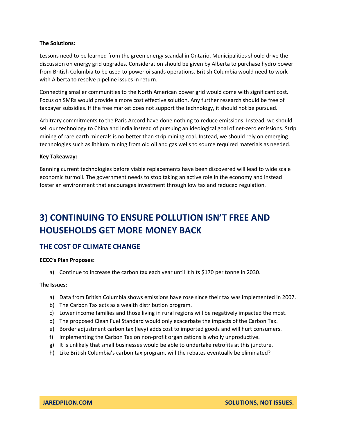Lessons need to be learned from the green energy scandal in Ontario. Municipalities should drive the discussion on energy grid upgrades. Consideration should be given by Alberta to purchase hydro power from British Columbia to be used to power oilsands operations. British Columbia would need to work with Alberta to resolve pipeline issues in return.

Connecting smaller communities to the North American power grid would come with significant cost. Focus on SMRs would provide a more cost effective solution. Any further research should be free of taxpayer subsidies. If the free market does not support the technology, it should not be pursued.

Arbitrary commitments to the Paris Accord have done nothing to reduce emissions. Instead, we should sell our technology to China and India instead of pursuing an ideological goal of net-zero emissions. Strip mining of rare earth minerals is no better than strip mining coal. Instead, we should rely on emerging technologies such as lithium mining from old oil and gas wells to source required materials as needed.

# **Key Takeaway:**

Banning current technologies before viable replacements have been discovered will lead to wide scale economic turmoil. The government needs to stop taking an active role in the economy and instead foster an environment that encourages investment through low tax and reduced regulation.

# **3) CONTINUING TO ENSURE POLLUTION ISN'T FREE AND HOUSEHOLDS GET MORE MONEY BACK**

# **THE COST OF CLIMATE CHANGE**

# **ECCC's Plan Proposes:**

a) Continue to increase the carbon tax each year until it hits \$170 per tonne in 2030.

# **The Issues:**

- a) Data from British Columbia shows emissions have rose since their tax was implemented in 2007.
- b) The Carbon Tax acts as a wealth distribution program.
- c) Lower income families and those living in rural regions will be negatively impacted the most.
- d) The proposed Clean Fuel Standard would only exacerbate the impacts of the Carbon Tax.
- e) Border adjustment carbon tax (levy) adds cost to imported goods and will hurt consumers.
- f) Implementing the Carbon Tax on non-profit organizations is wholly unproductive.
- g) It is unlikely that small businesses would be able to undertake retrofits at this juncture.
- h) Like British Columbia's carbon tax program, will the rebates eventually be eliminated?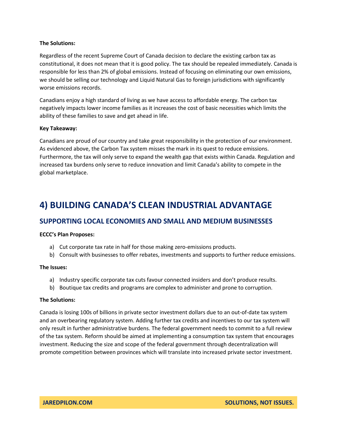Regardless of the recent Supreme Court of Canada decision to declare the existing carbon tax as constitutional, it does not mean that it is good policy. The tax should be repealed immediately. Canada is responsible for less than 2% of global emissions. Instead of focusing on eliminating our own emissions, we should be selling our technology and Liquid Natural Gas to foreign jurisdictions with significantly worse emissions records.

Canadians enjoy a high standard of living as we have access to affordable energy. The carbon tax negatively impacts lower income families as it increases the cost of basic necessities which limits the ability of these families to save and get ahead in life.

# **Key Takeaway:**

Canadians are proud of our country and take great responsibility in the protection of our environment. As evidenced above, the Carbon Tax system misses the mark in its quest to reduce emissions. Furthermore, the tax will only serve to expand the wealth gap that exists within Canada. Regulation and increased tax burdens only serve to reduce innovation and limit Canada's ability to compete in the global marketplace.

# **4) BUILDING CANADA'S CLEAN INDUSTRIAL ADVANTAGE**

# **SUPPORTING LOCAL ECONOMIES AND SMALL AND MEDIUM BUSINESSES**

# **ECCC's Plan Proposes:**

- a) Cut corporate tax rate in half for those making zero-emissions products.
- b) Consult with businesses to offer rebates, investments and supports to further reduce emissions.

# **The Issues:**

- a) Industry specific corporate tax cuts favour connected insiders and don't produce results.
- b) Boutique tax credits and programs are complex to administer and prone to corruption.

# **The Solutions:**

Canada is losing 100s of billions in private sector investment dollars due to an out-of-date tax system and an overbearing regulatory system. Adding further tax credits and incentives to our tax system will only result in further administrative burdens. The federal government needs to commit to a full review of the tax system. Reform should be aimed at implementing a consumption tax system that encourages investment. Reducing the size and scope of the federal government through decentralization will promote competition between provinces which will translate into increased private sector investment.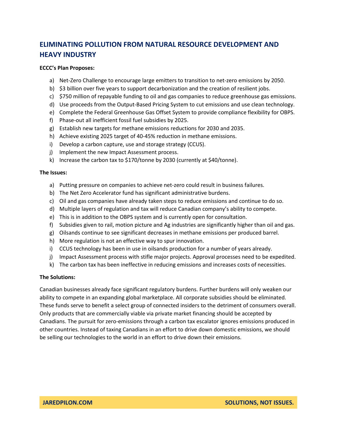# **ELIMINATING POLLUTION FROM NATURAL RESOURCE DEVELOPMENT AND HEAVY INDUSTRY**

# **ECCC's Plan Proposes:**

- a) Net-Zero Challenge to encourage large emitters to transition to net-zero emissions by 2050.
- b) \$3 billion over five years to support decarbonization and the creation of resilient jobs.
- c) \$750 million of repayable funding to oil and gas companies to reduce greenhouse gas emissions.
- d) Use proceeds from the Output-Based Pricing System to cut emissions and use clean technology.
- e) Complete the Federal Greenhouse Gas Offset System to provide compliance flexibility for OBPS.
- f) Phase-out all inefficient fossil fuel subsidies by 2025.
- g) Establish new targets for methane emissions reductions for 2030 and 2035.
- h) Achieve existing 2025 target of 40-45% reduction in methane emissions.
- i) Develop a carbon capture, use and storage strategy (CCUS).
- j) Implement the new Impact Assessment process.
- k) Increase the carbon tax to \$170/tonne by 2030 (currently at \$40/tonne).

# **The Issues:**

- a) Putting pressure on companies to achieve net-zero could result in business failures.
- b) The Net Zero Accelerator fund has significant administrative burdens.
- c) Oil and gas companies have already taken steps to reduce emissions and continue to do so.
- d) Multiple layers of regulation and tax will reduce Canadian company's ability to compete.
- e) This is in addition to the OBPS system and is currently open for consultation.
- f) Subsidies given to rail, motion picture and Ag industries are significantly higher than oil and gas.
- g) Oilsands continue to see significant decreases in methane emissions per produced barrel.
- h) More regulation is not an effective way to spur innovation.
- i) CCUS technology has been in use in oilsands production for a number of years already.
- j) Impact Assessment process with stifle major projects. Approval processes need to be expedited.
- k) The carbon tax has been ineffective in reducing emissions and increases costs of necessities.

# **The Solutions:**

Canadian businesses already face significant regulatory burdens. Further burdens will only weaken our ability to compete in an expanding global marketplace. All corporate subsidies should be eliminated. These funds serve to benefit a select group of connected insiders to the detriment of consumers overall. Only products that are commercially viable via private market financing should be accepted by Canadians. The pursuit for zero-emissions through a carbon tax escalator ignores emissions produced in other countries. Instead of taxing Canadians in an effort to drive down domestic emissions, we should be selling our technologies to the world in an effort to drive down their emissions.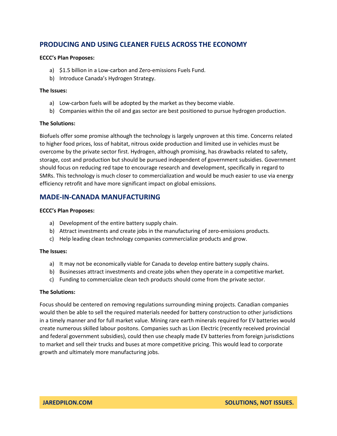# **PRODUCING AND USING CLEANER FUELS ACROSS THE ECONOMY**

# **ECCC's Plan Proposes:**

- a) \$1.5 billion in a Low-carbon and Zero-emissions Fuels Fund.
- b) Introduce Canada's Hydrogen Strategy.

# **The Issues:**

- a) Low-carbon fuels will be adopted by the market as they become viable.
- b) Companies within the oil and gas sector are best positioned to pursue hydrogen production.

# **The Solutions:**

Biofuels offer some promise although the technology is largely unproven at this time. Concerns related to higher food prices, loss of habitat, nitrous oxide production and limited use in vehicles must be overcome by the private sector first. Hydrogen, although promising, has drawbacks related to safety, storage, cost and production but should be pursued independent of government subsidies. Government should focus on reducing red tape to encourage research and development, specifically in regard to SMRs. This technology is much closer to commercialization and would be much easier to use via energy efficiency retrofit and have more significant impact on global emissions.

# **MADE-IN-CANADA MANUFACTURING**

# **ECCC's Plan Proposes:**

- a) Development of the entire battery supply chain.
- b) Attract investments and create jobs in the manufacturing of zero-emissions products.
- c) Help leading clean technology companies commercialize products and grow.

# **The Issues:**

- a) It may not be economically viable for Canada to develop entire battery supply chains.
- b) Businesses attract investments and create jobs when they operate in a competitive market.
- c) Funding to commercialize clean tech products should come from the private sector.

# **The Solutions:**

Focus should be centered on removing regulations surrounding mining projects. Canadian companies would then be able to sell the required materials needed for battery construction to other jurisdictions in a timely manner and for full market value. Mining rare earth minerals required for EV batteries would create numerous skilled labour positons. Companies such as Lion Electric (recently received provincial and federal government subsidies), could then use cheaply made EV batteries from foreign jurisdictions to market and sell their trucks and buses at more competitive pricing. This would lead to corporate growth and ultimately more manufacturing jobs.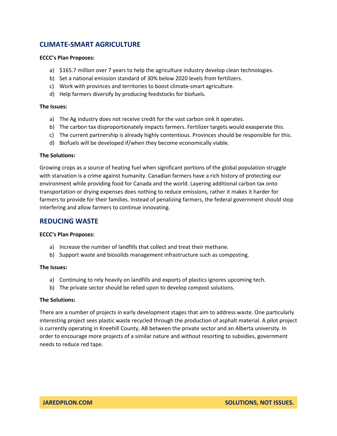# **CLIMATE-SMART AGRICULTURE**

# **ECCC's Plan Proposes:**

- a) \$165.7 million over 7 years to help the agriculture industry develop clean technologies.
- b) Set a national emission standard of 30% below 2020 levels from fertilizers.
- c) Work with provinces and territories to boost climate-smart agriculture.
- d) Help farmers diversify by producing feedstocks for biofuels.

# **The Issues:**

- a) The Ag industry does not receive credit for the vast carbon sink it operates.
- b) The carbon tax disproportionately impacts farmers. Fertilizer targets would exasperate this.
- c) The current partnership is already highly contentious. Provinces should be responsible for this.
- d) Biofuels will be developed if/when they become economically viable.

# **The Solutions:**

Growing crops as a source of heating fuel when significant portions of the global population struggle with starvation is a crime against humanity. Canadian farmers have a rich history of protecting our environment while providing food for Canada and the world. Layering additional carbon tax onto transportation or drying expenses does nothing to reduce emissions, rather it makes it harder for farmers to provide for their families. Instead of penalizing farmers, the federal government should stop interfering and allow farmers to continue innovating.

# **REDUCING WASTE**

# **ECCC's Plan Proposes:**

- a) Increase the number of landfills that collect and treat their methane.
- b) Support waste and biosolids management infrastructure such as composting.

# **The Issues:**

- a) Continuing to rely heavily on landfills and exports of plastics ignores upcoming tech.
- b) The private sector should be relied upon to develop compost solutions.

# **The Solutions:**

There are a number of projects in early development stages that aim to address waste. One particularly interesting project sees plastic waste recycled through the production of asphalt material. A pilot project is currently operating in Kneehill County, AB between the private sector and an Alberta university. In order to encourage more projects of a similar nature and without resorting to subsidies, government needs to reduce red tape.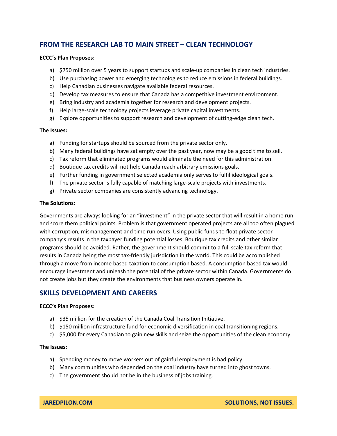# **FROM THE RESEARCH LAB TO MAIN STREET – CLEAN TECHNOLOGY**

# **ECCC's Plan Proposes:**

- a) \$750 million over 5 years to support startups and scale-up companies in clean tech industries.
- b) Use purchasing power and emerging technologies to reduce emissions in federal buildings.
- c) Help Canadian businesses navigate available federal resources.
- d) Develop tax measures to ensure that Canada has a competitive investment environment.
- e) Bring industry and academia together for research and development projects.
- f) Help large-scale technology projects leverage private capital investments.
- g) Explore opportunities to support research and development of cutting-edge clean tech.

# **The Issues:**

- a) Funding for startups should be sourced from the private sector only.
- b) Many federal buildings have sat empty over the past year, now may be a good time to sell.
- c) Tax reform that eliminated programs would eliminate the need for this administration.
- d) Boutique tax credits will not help Canada reach arbitrary emissions goals.
- e) Further funding in government selected academia only serves to fulfil ideological goals.
- f) The private sector is fully capable of matching large-scale projects with investments.
- g) Private sector companies are consistently advancing technology.

# **The Solutions:**

Governments are always looking for an "investment" in the private sector that will result in a home run and score them political points. Problem is that government operated projects are all too often plagued with corruption, mismanagement and time run overs. Using public funds to float private sector company's results in the taxpayer funding potential losses. Boutique tax credits and other similar programs should be avoided. Rather, the government should commit to a full scale tax reform that results in Canada being the most tax-friendly jurisdiction in the world. This could be accomplished through a move from income based taxation to consumption based. A consumption based tax would encourage investment and unleash the potential of the private sector within Canada. Governments do not create jobs but they create the environments that business owners operate in.

# **SKILLS DEVELOPMENT AND CAREERS**

# **ECCC's Plan Proposes:**

- a) \$35 million for the creation of the Canada Coal Transition Initiative.
- b) \$150 million infrastructure fund for economic diversification in coal transitioning regions.
- c) \$5,000 for every Canadian to gain new skills and seize the opportunities of the clean economy.

# **The Issues:**

- a) Spending money to move workers out of gainful employment is bad policy.
- b) Many communities who depended on the coal industry have turned into ghost towns.
- c) The government should not be in the business of jobs training.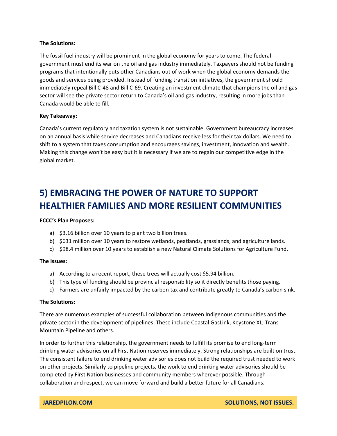The fossil fuel industry will be prominent in the global economy for years to come. The federal government must end its war on the oil and gas industry immediately. Taxpayers should not be funding programs that intentionally puts other Canadians out of work when the global economy demands the goods and services being provided. Instead of funding transition initiatives, the government should immediately repeal Bill C-48 and Bill C-69. Creating an investment climate that champions the oil and gas sector will see the private sector return to Canada's oil and gas industry, resulting in more jobs than Canada would be able to fill.

# **Key Takeaway:**

Canada's current regulatory and taxation system is not sustainable. Government bureaucracy increases on an annual basis while service decreases and Canadians receive less for their tax dollars. We need to shift to a system that taxes consumption and encourages savings, investment, innovation and wealth. Making this change won't be easy but it is necessary if we are to regain our competitive edge in the global market.

# **5) EMBRACING THE POWER OF NATURE TO SUPPORT HEALTHIER FAMILIES AND MORE RESILIENT COMMUNITIES**

# **ECCC's Plan Proposes:**

- a) \$3.16 billion over 10 years to plant two billion trees.
- b) \$631 million over 10 years to restore wetlands, peatlands, grasslands, and agriculture lands.
- c) \$98.4 million over 10 years to establish a new Natural Climate Solutions for Agriculture Fund.

# **The Issues:**

- a) According to a recent report, these trees will actually cost \$5.94 billion.
- b) This type of funding should be provincial responsibility so it directly benefits those paying.
- c) Farmers are unfairly impacted by the carbon tax and contribute greatly to Canada's carbon sink.

# **The Solutions:**

There are numerous examples of successful collaboration between Indigenous communities and the private sector in the development of pipelines. These include Coastal GasLink, Keystone XL, Trans Mountain Pipeline and others.

In order to further this relationship, the government needs to fulfill its promise to end long-term drinking water advisories on all First Nation reserves immediately. Strong relationships are built on trust. The consistent failure to end drinking water advisories does not build the required trust needed to work on other projects. Similarly to pipeline projects, the work to end drinking water advisories should be completed by First Nation businesses and community members wherever possible. Through collaboration and respect, we can move forward and build a better future for all Canadians.